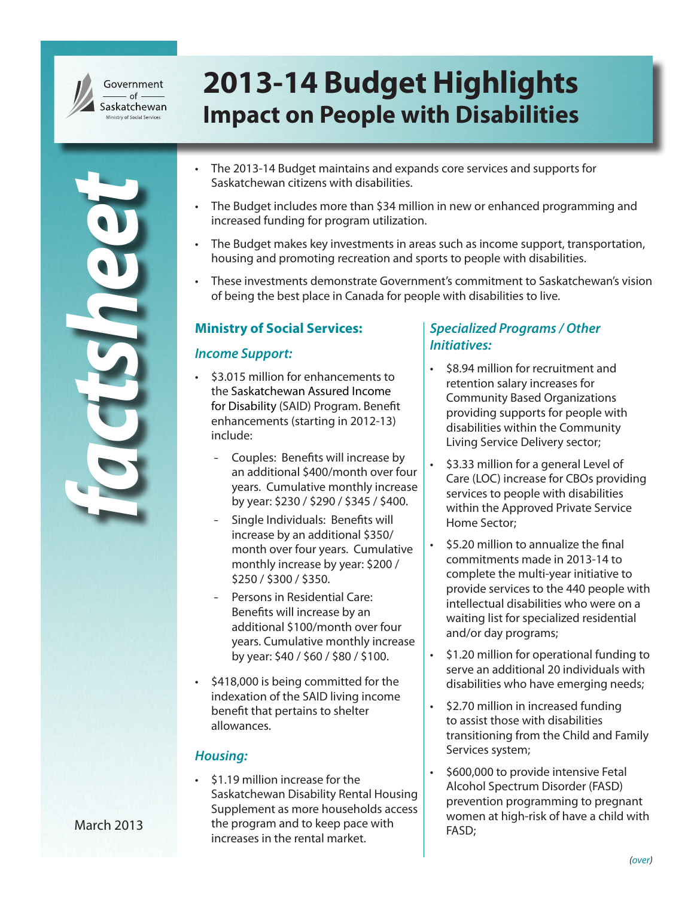

*factsheet*

# **2013-14 Budget Highlights Impact on People with Disabilities**

- The 2013-14 Budget maintains and expands core services and supports for Saskatchewan citizens with disabilities.
- The Budget includes more than \$34 million in new or enhanced programming and increased funding for program utilization.
- • The Budget makes key investments in areas such as income support, transportation, housing and promoting recreation and sports to people with disabilities.
- These investments demonstrate Government's commitment to Saskatchewan's vision of being the best place in Canada for people with disabilities to live.

#### **Ministry of Social Services:**

#### *Income Support:*

- • \$3.015 million for enhancements to the Saskatchewan Assured Income for Disability (SAID) Program. Benefit enhancements (starting in 2012-13) include:
	- Couples: Benefits will increase by an additional \$400/month over four years. Cumulative monthly increase by year: \$230 / \$290 / \$345 / \$400.
	- Single Individuals: Benefits will increase by an additional \$350/ month over four years. Cumulative monthly increase by year: \$200 / \$250 / \$300 / \$350.
	- Persons in Residential Care: Benefits will increase by an additional \$100/month over four years. Cumulative monthly increase by year: \$40 / \$60 / \$80 / \$100.
- \$418,000 is being committed for the indexation of the SAID living income benefit that pertains to shelter allowances.

#### *Housing:*

\$1.19 million increase for the Saskatchewan Disability Rental Housing Supplement as more households access the program and to keep pace with increases in the rental market.

## *Specialized Programs / Other Initiatives:*

- \$8.94 million for recruitment and retention salary increases for Community Based Organizations providing supports for people with disabilities within the Community Living Service Delivery sector;
- \$3.33 million for a general Level of Care (LOC) increase for CBOs providing services to people with disabilities within the Approved Private Service Home Sector;
- • \$5.20 million to annualize the final commitments made in 2013-14 to complete the multi-year initiative to provide services to the 440 people with intellectual disabilities who were on a waiting list for specialized residential and/or day programs;
- • \$1.20 million for operational funding to serve an additional 20 individuals with disabilities who have emerging needs;
- \$2.70 million in increased funding to assist those with disabilities transitioning from the Child and Family Services system;
- \$600,000 to provide intensive Fetal Alcohol Spectrum Disorder (FASD) prevention programming to pregnant women at high-risk of have a child with FASD;